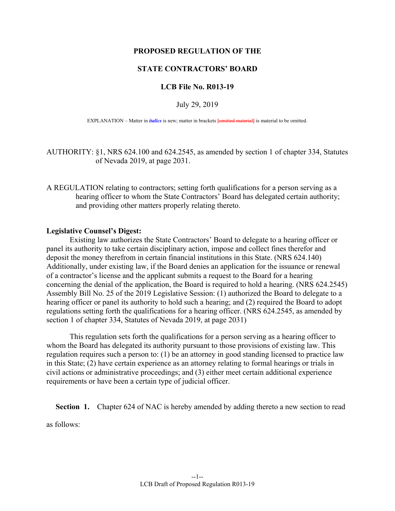## **PROPOSED REGULATION OF THE**

# **STATE CONTRACTORS' BOARD**

## **LCB File No. R013-19**

#### July 29, 2019

EXPLANATION – Matter in *italics* is new; matter in brackets [omitted material] is material to be omitted.

AUTHORITY: §1, NRS 624.100 and 624.2545, as amended by section 1 of chapter 334, Statutes of Nevada 2019, at page 2031.

A REGULATION relating to contractors; setting forth qualifications for a person serving as a hearing officer to whom the State Contractors' Board has delegated certain authority; and providing other matters properly relating thereto.

## **Legislative Counsel's Digest:**

 Existing law authorizes the State Contractors' Board to delegate to a hearing officer or panel its authority to take certain disciplinary action, impose and collect fines therefor and deposit the money therefrom in certain financial institutions in this State. (NRS 624.140) Additionally, under existing law, if the Board denies an application for the issuance or renewal of a contractor's license and the applicant submits a request to the Board for a hearing concerning the denial of the application, the Board is required to hold a hearing. (NRS 624.2545) Assembly Bill No. 25 of the 2019 Legislative Session: (1) authorized the Board to delegate to a hearing officer or panel its authority to hold such a hearing; and (2) required the Board to adopt regulations setting forth the qualifications for a hearing officer. (NRS 624.2545, as amended by section 1 of chapter 334, Statutes of Nevada 2019, at page 2031)

 This regulation sets forth the qualifications for a person serving as a hearing officer to whom the Board has delegated its authority pursuant to those provisions of existing law. This regulation requires such a person to: (1) be an attorney in good standing licensed to practice law in this State; (2) have certain experience as an attorney relating to formal hearings or trials in civil actions or administrative proceedings; and (3) either meet certain additional experience requirements or have been a certain type of judicial officer.

**Section 1.** Chapter 624 of NAC is hereby amended by adding thereto a new section to read

as follows: